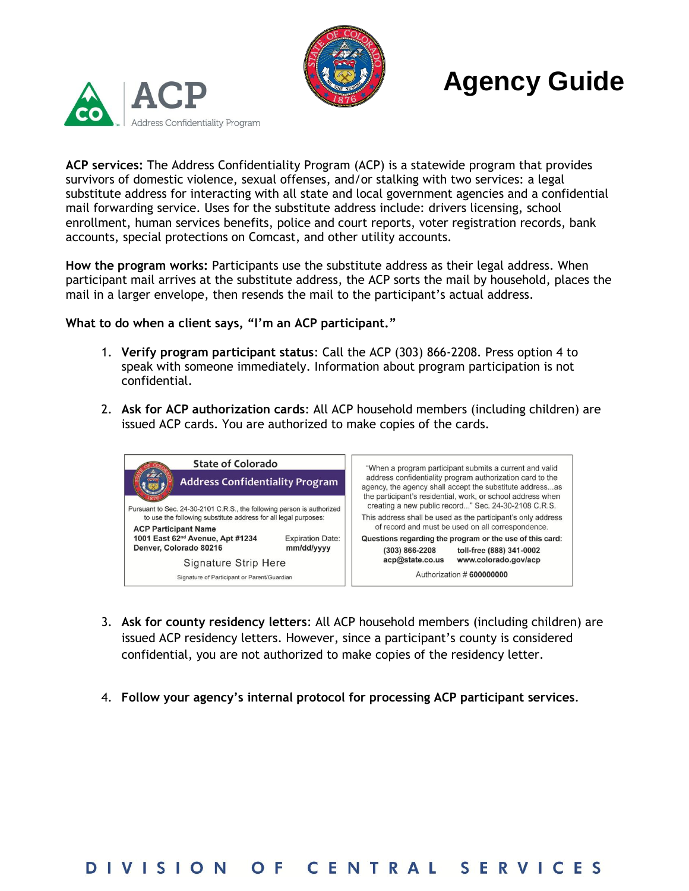



## **Agency Guide**

**ACP services:** The Address Confidentiality Program (ACP) is a statewide program that provides survivors of domestic violence, sexual offenses, and/or stalking with two services: a legal substitute address for interacting with all state and local government agencies and a confidential mail forwarding service. Uses for the substitute address include: drivers licensing, school enrollment, human services benefits, police and court reports, voter registration records, bank accounts, special protections on Comcast, and other utility accounts.

**How the program works:** Participants use the substitute address as their legal address. When participant mail arrives at the substitute address, the ACP sorts the mail by household, places the mail in a larger envelope, then resends the mail to the participant's actual address.

**What to do when a client says, "I'm an ACP participant."**

- 1. **Verify program participant status**: Call the ACP (303) 866-2208. Press option 4 to speak with someone immediately. Information about program participation is not confidential.
- 2. **Ask for ACP authorization cards**: All ACP household members (including children) are issued ACP cards. You are authorized to make copies of the cards.



- 3. **Ask for county residency letters**: All ACP household members (including children) are issued ACP residency letters. However, since a participant's county is considered confidential, you are not authorized to make copies of the residency letter.
- 4. **Follow your agency's internal protocol for processing ACP participant services**.

## OF CENTRAL SERVICES **DIVISION**